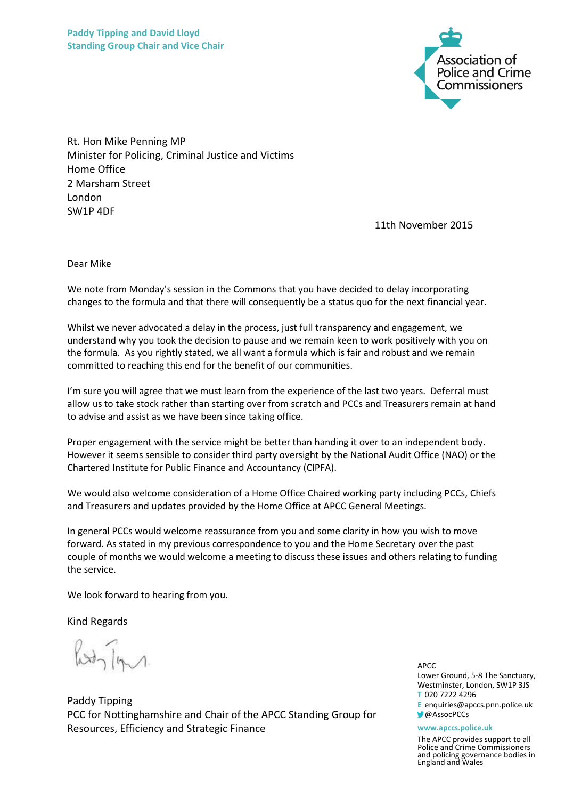

Rt. Hon Mike Penning MP Minister for Policing, Criminal Justice and Victims Home Office 2 Marsham Street London SW1P 4DF

11th November 2015

Dear Mike

We note from Monday's session in the Commons that you have decided to delay incorporating changes to the formula and that there will consequently be a status quo for the next financial year.

Whilst we never advocated a delay in the process, just full transparency and engagement, we understand why you took the decision to pause and we remain keen to work positively with you on the formula. As you rightly stated, we all want a formula which is fair and robust and we remain committed to reaching this end for the benefit of our communities.

I'm sure you will agree that we must learn from the experience of the last two years. Deferral must allow us to take stock rather than starting over from scratch and PCCs and Treasurers remain at hand to advise and assist as we have been since taking office.

Proper engagement with the service might be better than handing it over to an independent body. However it seems sensible to consider third party oversight by the National Audit Office (NAO) or the Chartered Institute for Public Finance and Accountancy (CIPFA).

We would also welcome consideration of a Home Office Chaired working party including PCCs, Chiefs and Treasurers and updates provided by the Home Office at APCC General Meetings.

In general PCCs would welcome reassurance from you and some clarity in how you wish to move forward. As stated in my previous correspondence to you and the Home Secretary over the past couple of months we would welcome a meeting to discuss these issues and others relating to funding the service.

We look forward to hearing from you.

Kind Regards

Paddy Tipping PCC for Nottinghamshire and Chair of the APCC Standing Group for Resources, Efficiency and Strategic Finance

APCC

Lower Ground, 5-8 The Sanctuary, Westminster, London, SW1P 3JS **T** 020 7222 4296 **E** enquiries@apccs.pnn.police.uk **@AssocPCCs** 

## **www.apccs.police.uk**

The APCC provides support to all Police and Crime Commissioners and policing governance bodies in England and Wales